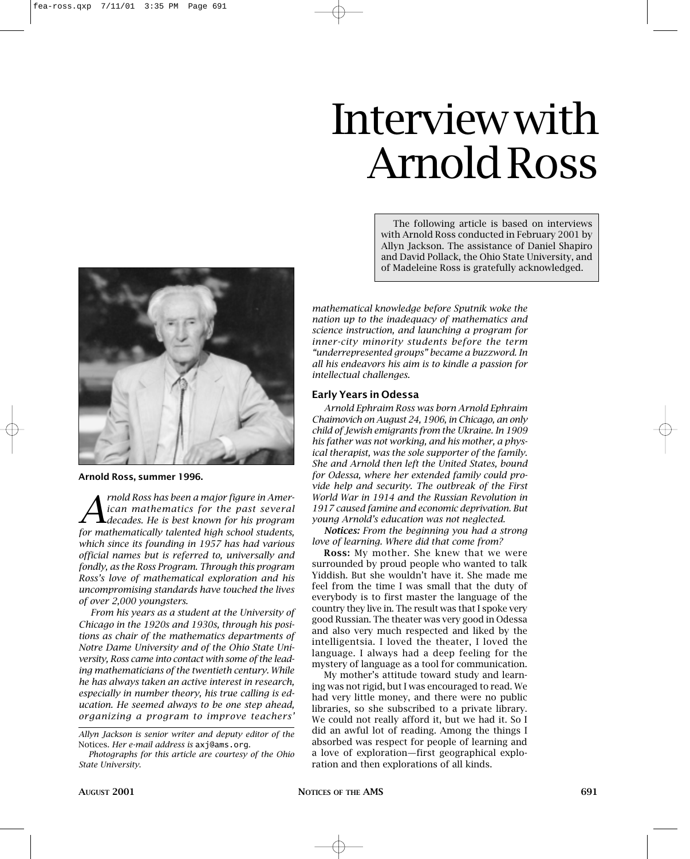# *Photographs for this article are courtesy of the Ohio State University.*

# Interview with Arnold Ross

The following article is based on interviews with Arnold Ross conducted in February 2001 by Allyn Jackson. The assistance of Daniel Shapiro and David Pollack, the Ohio State University, and of Madeleine Ross is gratefully acknowledged.

*mathematical knowledge before Sputnik woke the nation up to the inadequacy of mathematics and science instruction, and launching a program for inner-city minority students before the term "underrepresented groups" became a buzzword. In all his endeavors his aim is to kindle a passion for intellectual challenges.*

# **Early Years in Odessa**

*Arnold Ephraim Ross was born Arnold Ephraim Chaimovich on August 24, 1906, in Chicago, an only child of Jewish emigrants from the Ukraine. In 1909 his father was not working, and his mother, a physical therapist, was the sole supporter of the family. She and Arnold then left the United States, bound for Odessa, where her extended family could provide help and security. The outbreak of the First World War in 1914 and the Russian Revolution in 1917 caused famine and economic deprivation. But young Arnold's education was not neglected.*

*Notices: From the beginning you had a strong love of learning. Where did that come from?*

**Ross:** My mother. She knew that we were surrounded by proud people who wanted to talk Yiddish. But she wouldn't have it. She made me feel from the time I was small that the duty of everybody is to first master the language of the country they live in. The result was that I spoke very good Russian. The theater was very good in Odessa and also very much respected and liked by the intelligentsia. I loved the theater, I loved the language. I always had a deep feeling for the mystery of language as a tool for communication.

My mother's attitude toward study and learning was not rigid, but I was encouraged to read. We had very little money, and there were no public libraries, so she subscribed to a private library. We could not really afford it, but we had it. So I did an awful lot of reading. Among the things I absorbed was respect for people of learning and a love of exploration—first geographical exploration and then explorations of all kinds.



# **Arnold Ross, summer 1996.**

*A rnold Ross has been a major figure in Amer-*<br>*A ican mathematics for the past several*<br>*decades. He is best known for his program ican mathematics for the past several decades. He is best known for his program for mathematically talented high school students, which since its founding in 1957 has had various official names but is referred to, universally and fondly, as the Ross Program. Through this program Ross's love of mathematical exploration and his uncompromising standards have touched the lives of over 2,000 youngsters.*

*From his years as a student at the University of Chicago in the 1920s and 1930s, through his positions as chair of the mathematics departments of Notre Dame University and of the Ohio State University, Ross came into contact with some of the leading mathematicians of the twentieth century. While he has always taken an active interest in research, especially in number theory, his true calling is education. He seemed always to be one step ahead, organizing a program to improve teachers'*

*Allyn Jackson is senior writer and deputy editor of the* 

Notices*. Her e-mail address is* axj@ams.org*.*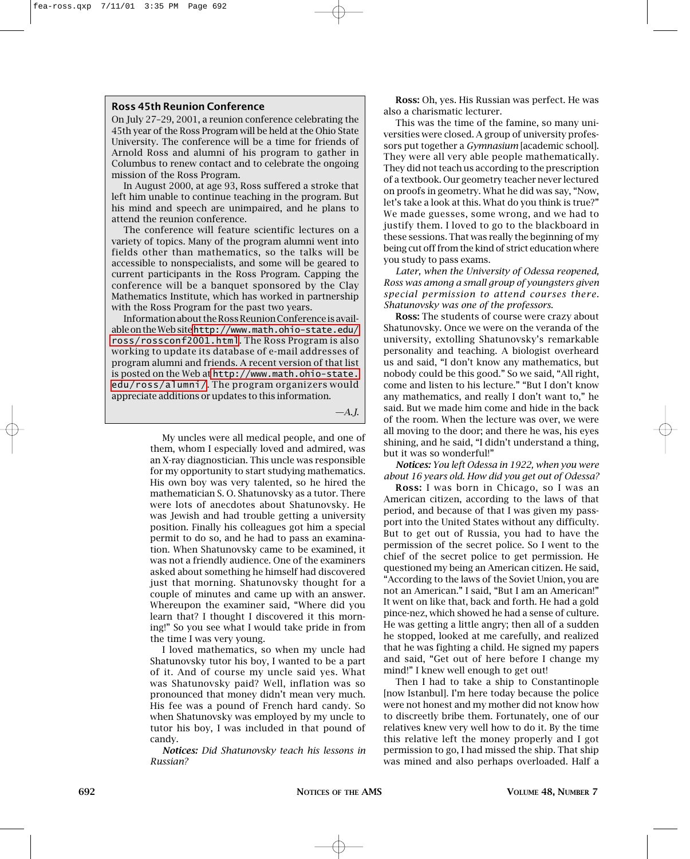## **Ross 45th Reunion Conference**

On July 27–29, 2001, a reunion conference celebrating the 45th year of the Ross Program will be held at the Ohio State University. The conference will be a time for friends of Arnold Ross and alumni of his program to gather in Columbus to renew contact and to celebrate the ongoing mission of the Ross Program.

In August 2000, at age 93, Ross suffered a stroke that left him unable to continue teaching in the program. But his mind and speech are unimpaired, and he plans to attend the reunion conference.

The conference will feature scientific lectures on a variety of topics. Many of the program alumni went into fields other than mathematics, so the talks will be accessible to nonspecialists, and some will be geared to current participants in the Ross Program. Capping the conference will be a banquet sponsored by the Clay Mathematics Institute, which has worked in partnership with the Ross Program for the past two years.

Information about the Ross Reunion Conference is available on the Web site [http://www.math.ohio-state.edu/](http://www.math.ohio-state.edu/ross/rossconf2001.html) [ross/rossconf2001.html](http://www.math.ohio-state.edu/ross/rossconf2001.html). The Ross Program is also working to update its database of e-mail addresses of program alumni and friends. A recent version of that list is posted on the Web at [http://www.math.ohio-state.](http://www.math.ohio-state.edu/ross/alumni/) [edu/ross/alumni/](http://www.math.ohio-state.edu/ross/alumni/). The program organizers would appreciate additions or updates to this information.

*—A.J.*

My uncles were all medical people, and one of them, whom I especially loved and admired, was an X-ray diagnostician. This uncle was responsible for my opportunity to start studying mathematics. His own boy was very talented, so he hired the mathematician S. O. Shatunovsky as a tutor. There were lots of anecdotes about Shatunovsky. He was Jewish and had trouble getting a university position. Finally his colleagues got him a special permit to do so, and he had to pass an examination. When Shatunovsky came to be examined, it was not a friendly audience. One of the examiners asked about something he himself had discovered just that morning. Shatunovsky thought for a couple of minutes and came up with an answer. Whereupon the examiner said, "Where did you learn that? I thought I discovered it this morning!" So you see what I would take pride in from the time I was very young.

I loved mathematics, so when my uncle had Shatunovsky tutor his boy, I wanted to be a part of it. And of course my uncle said yes. What was Shatunovsky paid? Well, inflation was so pronounced that money didn't mean very much. His fee was a pound of French hard candy. So when Shatunovsky was employed by my uncle to tutor his boy, I was included in that pound of candy.

*Notices: Did Shatunovsky teach his lessons in Russian?*

**Ross:** Oh, yes. His Russian was perfect. He was also a charismatic lecturer.

This was the time of the famine, so many universities were closed. A group of university professors put together a *Gymnasium* [academic school]. They were all very able people mathematically. They did not teach us according to the prescription of a textbook. Our geometry teacher never lectured on proofs in geometry. What he did was say, "Now, let's take a look at this. What do you think is true?" We made guesses, some wrong, and we had to justify them. I loved to go to the blackboard in these sessions. That was really the beginning of my being cut off from the kind of strict education where you study to pass exams.

*Later, when the University of Odessa reopened, Ross was among a small group of youngsters given special permission to attend courses there. Shatunovsky was one of the professors.*

**Ross:** The students of course were crazy about Shatunovsky. Once we were on the veranda of the university, extolling Shatunovsky's remarkable personality and teaching. A biologist overheard us and said, "I don't know any mathematics, but nobody could be this good." So we said, "All right, come and listen to his lecture." "But I don't know any mathematics, and really I don't want to," he said. But we made him come and hide in the back of the room. When the lecture was over, we were all moving to the door; and there he was, his eyes shining, and he said, "I didn't understand a thing, but it was so wonderful!"

*Notices: You left Odessa in 1922, when you were about 16 years old. How did you get out of Odessa?*

**Ross:** I was born in Chicago, so I was an American citizen, according to the laws of that period, and because of that I was given my passport into the United States without any difficulty. But to get out of Russia, you had to have the permission of the secret police. So I went to the chief of the secret police to get permission. He questioned my being an American citizen. He said, "According to the laws of the Soviet Union, you are not an American." I said, "But I am an American!" It went on like that, back and forth. He had a gold pince-nez, which showed he had a sense of culture. He was getting a little angry; then all of a sudden he stopped, looked at me carefully, and realized that he was fighting a child. He signed my papers and said, "Get out of here before I change my mind!" I knew well enough to get out!

Then I had to take a ship to Constantinople [now Istanbul]. I'm here today because the police were not honest and my mother did not know how to discreetly bribe them. Fortunately, one of our relatives knew very well how to do it. By the time this relative left the money properly and I got permission to go, I had missed the ship. That ship was mined and also perhaps overloaded. Half a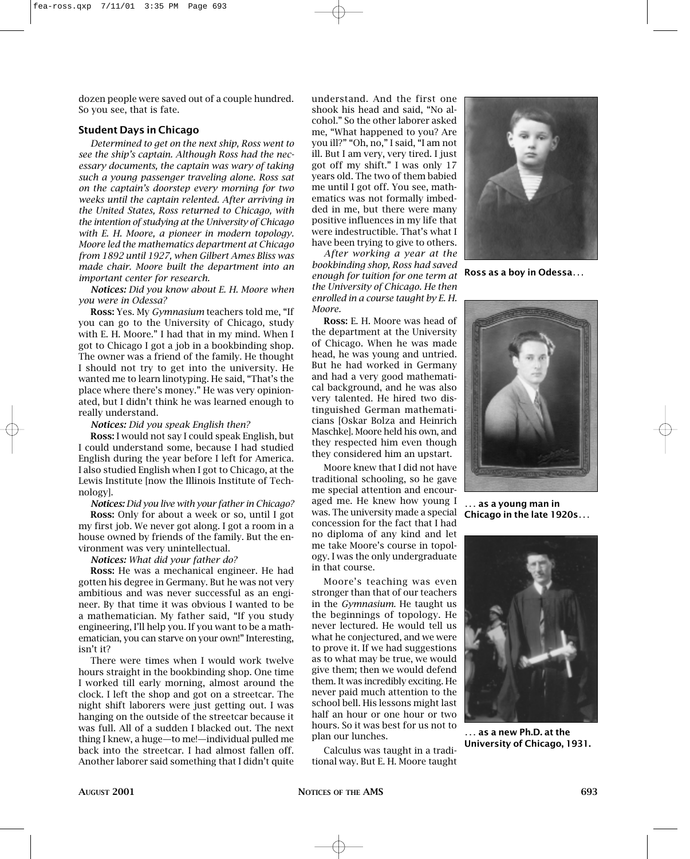dozen people were saved out of a couple hundred. So you see, that is fate.

#### **Student Days in Chicago**

*Determined to get on the next ship, Ross went to see the ship's captain. Although Ross had the necessary documents, the captain was wary of taking such a young passenger traveling alone. Ross sat on the captain's doorstep every morning for two weeks until the captain relented. After arriving in the United States, Ross returned to Chicago, with the intention of studying at the University of Chicago with E. H. Moore, a pioneer in modern topology. Moore led the mathematics department at Chicago from 1892 until 1927, when Gilbert Ames Bliss was made chair. Moore built the department into an important center for research.*

*Notices: Did you know about E. H. Moore when you were in Odessa?*

**Ross:** Yes. My *Gymnasium* teachers told me, "If you can go to the University of Chicago, study with E. H. Moore." I had that in my mind. When I got to Chicago I got a job in a bookbinding shop. The owner was a friend of the family. He thought I should not try to get into the university. He wanted me to learn linotyping. He said, "That's the place where there's money." He was very opinionated, but I didn't think he was learned enough to really understand.

#### *Notices: Did you speak English then?*

**Ross:** I would not say I could speak English, but I could understand some, because I had studied English during the year before I left for America. I also studied English when I got to Chicago, at the Lewis Institute [now the Illinois Institute of Technology].

*Notices: Did you live with your father in Chicago?*

**Ross:** Only for about a week or so, until I got my first job. We never got along. I got a room in a house owned by friends of the family. But the environment was very unintellectual.

#### *Notices: What did your father do?*

**Ross:** He was a mechanical engineer. He had gotten his degree in Germany. But he was not very ambitious and was never successful as an engineer. By that time it was obvious I wanted to be a mathematician. My father said, "If you study engineering, I'll help you. If you want to be a mathematician, you can starve on your own!" Interesting, isn't it?

There were times when I would work twelve hours straight in the bookbinding shop. One time I worked till early morning, almost around the clock. I left the shop and got on a streetcar. The night shift laborers were just getting out. I was hanging on the outside of the streetcar because it was full. All of a sudden I blacked out. The next thing I knew, a huge—to me!—individual pulled me back into the streetcar. I had almost fallen off. Another laborer said something that I didn't quite shook his head and said, "No alcohol." So the other laborer asked me, "What happened to you? Are you ill?" "Oh, no," I said, "I am not ill. But I am very, very tired. I just got off my shift." I was only 17 years old. The two of them babied me until I got off. You see, mathematics was not formally imbedded in me, but there were many positive influences in my life that were indestructible. That's what I have been trying to give to others.

*After working a year at the bookbinding shop, Ross had saved enough for tuition for one term at the University of Chicago. He then enrolled in a course taught by E. H. Moore.*

**Ross:** E. H. Moore was head of the department at the University of Chicago. When he was made head, he was young and untried. But he had worked in Germany and had a very good mathematical background, and he was also very talented. He hired two distinguished German mathematicians [Oskar Bolza and Heinrich Maschke]. Moore held his own, and they respected him even though they considered him an upstart.

Moore knew that I did not have traditional schooling, so he gave me special attention and encouraged me. He knew how young I was. The university made a special concession for the fact that I had no diploma of any kind and let me take Moore's course in topology. I was the only undergraduate in that course.

Moore's teaching was even stronger than that of our teachers in the *Gymnasium*. He taught us the beginnings of topology. He never lectured. He would tell us what he conjectured, and we were to prove it. If we had suggestions as to what may be true, we would give them; then we would defend them. It was incredibly exciting. He never paid much attention to the school bell. His lessons might last half an hour or one hour or two hours. So it was best for us not to plan our lunches.

Calculus was taught in a traditional way. But E. H. Moore taught



**Ross as a boy in Odessa***...*



*...* **as a young man in Chicago in the late 1920s***...*



*...* **as a new Ph.D. at the University of Chicago, 1931.**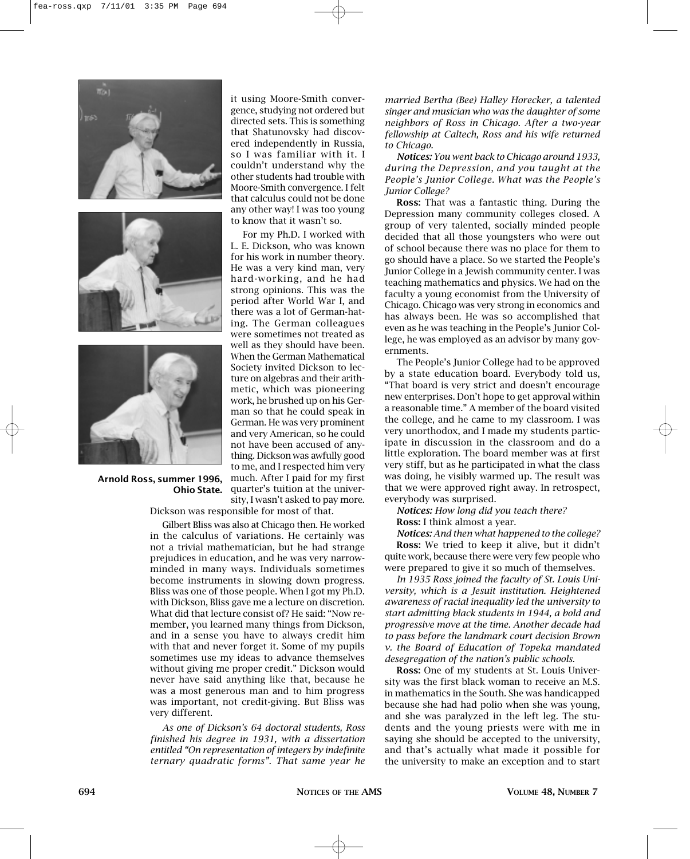





### **Arnold Ross, summer 1996, Ohio State.**

it using Moore-Smith convergence, studying not ordered but directed sets. This is something that Shatunovsky had discovered independently in Russia, so I was familiar with it. I couldn't understand why the other students had trouble with Moore-Smith convergence. I felt that calculus could not be done any other way! I was too young to know that it wasn't so.

For my Ph.D. I worked with L. E. Dickson, who was known for his work in number theory. He was a very kind man, very hard-working, and he had strong opinions. This was the period after World War I, and there was a lot of German-hating. The German colleagues were sometimes not treated as well as they should have been. When the German Mathematical Society invited Dickson to lecture on algebras and their arithmetic, which was pioneering work, he brushed up on his German so that he could speak in German. He was very prominent and very American, so he could not have been accused of anything. Dickson was awfully good to me, and I respected him very much. After I paid for my first quarter's tuition at the university, I wasn't asked to pay more.

Dickson was responsible for most of that.

Gilbert Bliss was also at Chicago then. He worked in the calculus of variations. He certainly was not a trivial mathematician, but he had strange prejudices in education, and he was very narrowminded in many ways. Individuals sometimes become instruments in slowing down progress. Bliss was one of those people. When I got my Ph.D. with Dickson, Bliss gave me a lecture on discretion. What did that lecture consist of? He said: "Now remember, you learned many things from Dickson, and in a sense you have to always credit him with that and never forget it. Some of my pupils sometimes use my ideas to advance themselves without giving me proper credit." Dickson would never have said anything like that, because he was a most generous man and to him progress was important, not credit-giving. But Bliss was very different.

*As one of Dickson's 64 doctoral students, Ross finished his degree in 1931, with a dissertation entitled "On representation of integers by indefinite ternary quadratic forms". That same year he*  *married Bertha (Bee) Halley Horecker, a talented singer and musician who was the daughter of some neighbors of Ross in Chicago. After a two-year fellowship at Caltech, Ross and his wife returned to Chicago.*

*Notices: You went back to Chicago around 1933, during the Depression, and you taught at the People's Junior College. What was the People's Junior College?*

**Ross:** That was a fantastic thing. During the Depression many community colleges closed. A group of very talented, socially minded people decided that all those youngsters who were out of school because there was no place for them to go should have a place. So we started the People's Junior College in a Jewish community center. I was teaching mathematics and physics. We had on the faculty a young economist from the University of Chicago. Chicago was very strong in economics and has always been. He was so accomplished that even as he was teaching in the People's Junior College, he was employed as an advisor by many governments.

The People's Junior College had to be approved by a state education board. Everybody told us, "That board is very strict and doesn't encourage new enterprises. Don't hope to get approval within a reasonable time." A member of the board visited the college, and he came to my classroom. I was very unorthodox, and I made my students participate in discussion in the classroom and do a little exploration. The board member was at first very stiff, but as he participated in what the class was doing, he visibly warmed up. The result was that we were approved right away. In retrospect, everybody was surprised.

*Notices: How long did you teach there?* **Ross:** I think almost a year.

*Notices: And then what happened to the college?* **Ross:** We tried to keep it alive, but it didn't quite work, because there were very few people who were prepared to give it so much of themselves.

*In 1935 Ross joined the faculty of St. Louis University, which is a Jesuit institution. Heightened awareness of racial inequality led the university to start admitting black students in 1944, a bold and progressive move at the time. Another decade had to pass before the landmark court decision Brown v. the Board of Education of Topeka mandated desegregation of the nation's public schools.*

**Ross:** One of my students at St. Louis University was the first black woman to receive an M.S. in mathematics in the South. She was handicapped because she had had polio when she was young, and she was paralyzed in the left leg. The students and the young priests were with me in saying she should be accepted to the university, and that's actually what made it possible for the university to make an exception and to start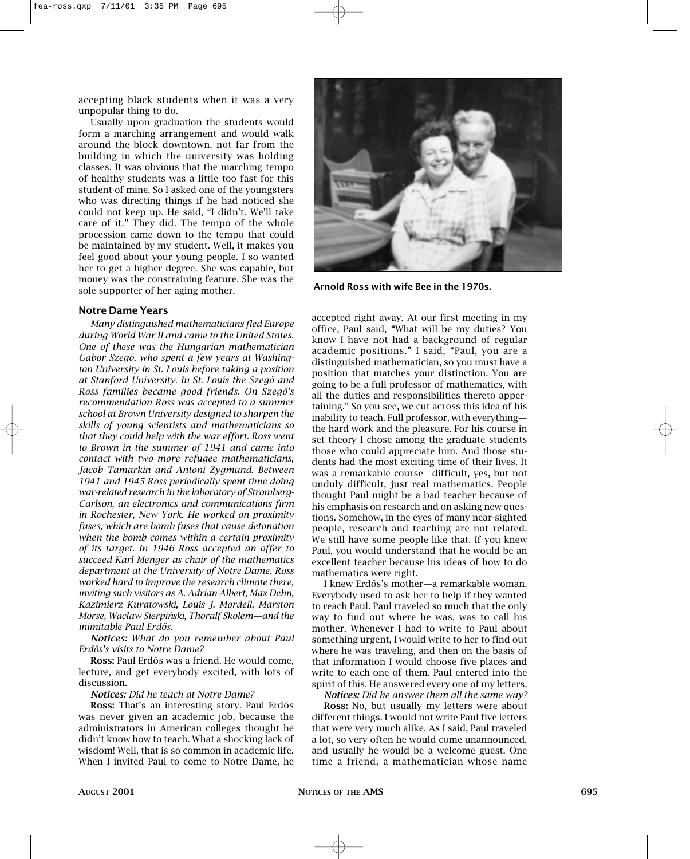accepting black students when it was a very unpopular thing to do.

Usually upon graduation the students would form a marching arrangement and would walk around the block downtown, not far from the building in which the university was holding classes. It was obvious that the marching tempo of healthy students was a little too fast for this student of mine. So I asked one of the youngsters who was directing things if he had noticed she could not keep up. He said, "I didn't. We'll take care of it." They did. The tempo of the whole procession came down to the tempo that could be maintained by my student. Well, it makes you feel good about your young people. I so wanted her to get a higher degree. She was capable, but money was the constraining feature. She was the sole supporter of her aging mother.

#### **Notre Dame Years**

*Many distinguished mathematicians fled Europe during World War II and came to the United States. One of these was the Hungarian mathematician* Gabor Szegő, who spent a few years at Washing*ton University in St. Louis before taking a position at Stanford University. In St. Louis the Szego˝ and Ross families became good friends. On Szego˝'s recommendation Ross was accepted to a summer school at Brown University designed to sharpen the skills of young scientists and mathematicians so that they could help with the war effort. Ross went to Brown in the summer of 1941 and came into contact with two more refugee mathematicians, Jacob Tamarkin and Antoni Zygmund. Between 1941 and 1945 Ross periodically spent time doing war-related research in the laboratory of Stromberg-Carlson, an electronics and communications firm in Rochester, New York. He worked on proximity fuses, which are bomb fuses that cause detonation when the bomb comes within a certain proximity of its target. In 1946 Ross accepted an offer to succeed Karl Menger as chair of the mathematics department at the University of Notre Dame. Ross worked hard to improve the research climate there, inviting such visitors as A. Adrian Albert, Max Dehn, Kazimierz Kuratowski, Louis J. Mordell, Marston Morse, Waclaw Sierpin´ski, Thoralf Skolem—and the inimitable Paul Erdős.* 

*Notices: What do you remember about Paul Erdo˝s's visits to Notre Dame?*

**Ross:** Paul Erdős was a friend. He would come, lecture, and get everybody excited, with lots of discussion.

#### *Notices: Did he teach at Notre Dame?*

**Ross:** That's an interesting story. Paul Erdős was never given an academic job, because the administrators in American colleges thought he didn't know how to teach. What a shocking lack of wisdom! Well, that is so common in academic life. When I invited Paul to come to Notre Dame, he



**Arnold Ross with wife Bee in the 1970s.**

accepted right away. At our first meeting in my office, Paul said, "What will be my duties? You know I have not had a background of regular academic positions." I said, "Paul, you are a distinguished mathematician, so you must have a position that matches your distinction. You are going to be a full professor of mathematics, with all the duties and responsibilities thereto appertaining." So you see, we cut across this idea of his inability to teach. Full professor, with everything the hard work and the pleasure. For his course in set theory I chose among the graduate students those who could appreciate him. And those students had the most exciting time of their lives. It was a remarkable course—difficult, yes, but not unduly difficult, just real mathematics. People thought Paul might be a bad teacher because of his emphasis on research and on asking new questions. Somehow, in the eyes of many near-sighted people, research and teaching are not related. We still have some people like that. If you knew Paul, you would understand that he would be an excellent teacher because his ideas of how to do mathematics were right.

I knew Erdős's mother—a remarkable woman. Everybody used to ask her to help if they wanted to reach Paul. Paul traveled so much that the only way to find out where he was, was to call his mother. Whenever I had to write to Paul about something urgent, I would write to her to find out where he was traveling, and then on the basis of that information I would choose five places and write to each one of them. Paul entered into the spirit of this. He answered every one of my letters.

*Notices: Did he answer them all the same way?*

**Ross:** No, but usually my letters were about different things. I would not write Paul five letters that were very much alike. As I said, Paul traveled a lot, so very often he would come unannounced, and usually he would be a welcome guest. One time a friend, a mathematician whose name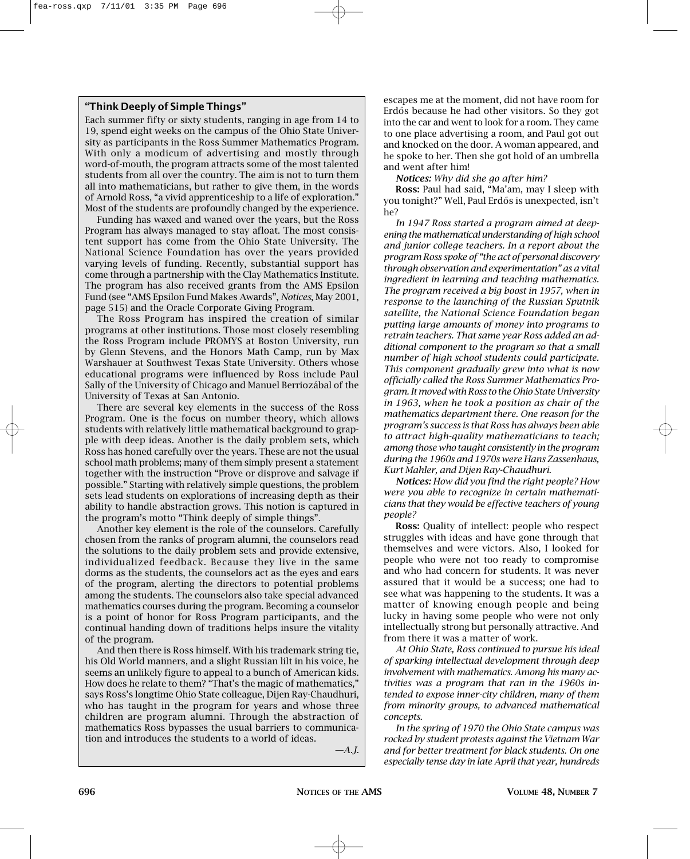# **"Think Deeply of Simple Things"**

Each summer fifty or sixty students, ranging in age from 14 to 19, spend eight weeks on the campus of the Ohio State University as participants in the Ross Summer Mathematics Program. With only a modicum of advertising and mostly through word-of-mouth, the program attracts some of the most talented students from all over the country. The aim is not to turn them all into mathematicians, but rather to give them, in the words of Arnold Ross, "a vivid apprenticeship to a life of exploration." Most of the students are profoundly changed by the experience.

Funding has waxed and waned over the years, but the Ross Program has always managed to stay afloat. The most consistent support has come from the Ohio State University. The National Science Foundation has over the years provided varying levels of funding. Recently, substantial support has come through a partnership with the Clay Mathematics Institute. The program has also received grants from the AMS Epsilon Fund (see "AMS Epsilon Fund Makes Awards", *Notices*, May 2001, page 515) and the Oracle Corporate Giving Program.

The Ross Program has inspired the creation of similar programs at other institutions. Those most closely resembling the Ross Program include PROMYS at Boston University, run by Glenn Stevens, and the Honors Math Camp, run by Max Warshauer at Southwest Texas State University. Others whose educational programs were influenced by Ross include Paul Sally of the University of Chicago and Manuel Berriozábal of the University of Texas at San Antonio.

There are several key elements in the success of the Ross Program. One is the focus on number theory, which allows students with relatively little mathematical background to grapple with deep ideas. Another is the daily problem sets, which Ross has honed carefully over the years. These are not the usual school math problems; many of them simply present a statement together with the instruction "Prove or disprove and salvage if possible." Starting with relatively simple questions, the problem sets lead students on explorations of increasing depth as their ability to handle abstraction grows. This notion is captured in the program's motto "Think deeply of simple things".

Another key element is the role of the counselors. Carefully chosen from the ranks of program alumni, the counselors read the solutions to the daily problem sets and provide extensive, individualized feedback. Because they live in the same dorms as the students, the counselors act as the eyes and ears of the program, alerting the directors to potential problems among the students. The counselors also take special advanced mathematics courses during the program. Becoming a counselor is a point of honor for Ross Program participants, and the continual handing down of traditions helps insure the vitality of the program.

And then there is Ross himself. With his trademark string tie, his Old World manners, and a slight Russian lilt in his voice, he seems an unlikely figure to appeal to a bunch of American kids. How does he relate to them? "That's the magic of mathematics," says Ross's longtime Ohio State colleague, Dijen Ray-Chaudhuri, who has taught in the program for years and whose three children are program alumni. Through the abstraction of mathematics Ross bypasses the usual barriers to communication and introduces the students to a world of ideas.

*—A.J.*

escapes me at the moment, did not have room for Erdős because he had other visitors. So they got into the car and went to look for a room. They came to one place advertising a room, and Paul got out and knocked on the door. A woman appeared, and he spoke to her. Then she got hold of an umbrella and went after him!

*Notices: Why did she go after him?*

**Ross:** Paul had said, "Ma'am, may I sleep with you tonight?" Well, Paul Erdős is unexpected, isn't he?

*In 1947 Ross started a program aimed at deepening the mathematical understanding of high school and junior college teachers. In a report about the program Ross spoke of "the act of personal discovery through observation and experimentation" as a vital ingredient in learning and teaching mathematics. The program received a big boost in 1957, when in response to the launching of the Russian Sputnik satellite, the National Science Foundation began putting large amounts of money into programs to retrain teachers. That same year Ross added an additional component to the program so that a small number of high school students could participate. This component gradually grew into what is now officially called the Ross Summer Mathematics Program. It moved with Ross to the Ohio State University in 1963, when he took a position as chair of the mathematics department there. One reason for the program's success is that Ross has always been able to attract high-quality mathematicians to teach; among those who taught consistently in the program during the 1960s and 1970s were Hans Zassenhaus, Kurt Mahler, and Dijen Ray-Chaudhuri.*

*Notices: How did you find the right people? How were you able to recognize in certain mathematicians that they would be effective teachers of young people?*

**Ross:** Quality of intellect: people who respect struggles with ideas and have gone through that themselves and were victors. Also, I looked for people who were not too ready to compromise and who had concern for students. It was never assured that it would be a success; one had to see what was happening to the students. It was a matter of knowing enough people and being lucky in having some people who were not only intellectually strong but personally attractive. And from there it was a matter of work.

*At Ohio State, Ross continued to pursue his ideal of sparking intellectual development through deep involvement with mathematics. Among his many activities was a program that ran in the 1960s intended to expose inner-city children, many of them from minority groups, to advanced mathematical concepts.*

*In the spring of 1970 the Ohio State campus was rocked by student protests against the Vietnam War and for better treatment for black students. On one especially tense day in late April that year, hundreds*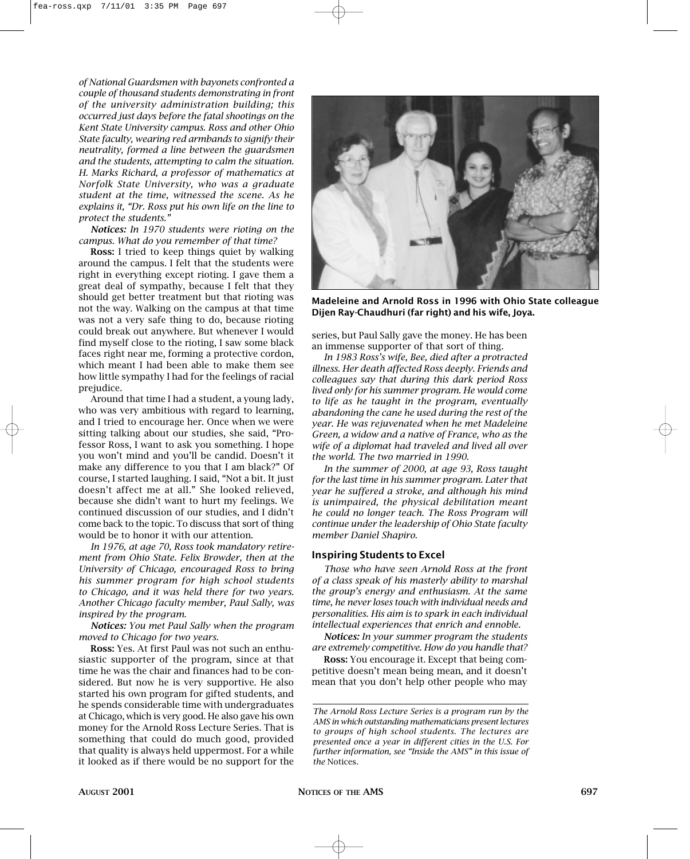*of National Guardsmen with bayonets confronted a couple of thousand students demonstrating in front of the university administration building; this occurred just days before the fatal shootings on the Kent State University campus. Ross and other Ohio State faculty, wearing red armbands to signify their neutrality, formed a line between the guardsmen and the students, attempting to calm the situation. H. Marks Richard, a professor of mathematics at Norfolk State University, who was a graduate student at the time, witnessed the scene. As he explains it, "Dr. Ross put his own life on the line to protect the students."*

*Notices: In 1970 students were rioting on the campus. What do you remember of that time?*

**Ross:** I tried to keep things quiet by walking around the campus. I felt that the students were right in everything except rioting. I gave them a great deal of sympathy, because I felt that they should get better treatment but that rioting was not the way. Walking on the campus at that time was not a very safe thing to do, because rioting could break out anywhere. But whenever I would find myself close to the rioting, I saw some black faces right near me, forming a protective cordon, which meant I had been able to make them see how little sympathy I had for the feelings of racial prejudice.

Around that time I had a student, a young lady, who was very ambitious with regard to learning, and I tried to encourage her. Once when we were sitting talking about our studies, she said, "Professor Ross, I want to ask you something. I hope you won't mind and you'll be candid. Doesn't it make any difference to you that I am black?" Of course, I started laughing. I said, "Not a bit. It just doesn't affect me at all." She looked relieved, because she didn't want to hurt my feelings. We continued discussion of our studies, and I didn't come back to the topic. To discuss that sort of thing would be to honor it with our attention.

*In 1976, at age 70, Ross took mandatory retirement from Ohio State. Felix Browder, then at the University of Chicago, encouraged Ross to bring his summer program for high school students to Chicago, and it was held there for two years. Another Chicago faculty member, Paul Sally, was inspired by the program.*

*Notices: You met Paul Sally when the program moved to Chicago for two years.*

**Ross:** Yes. At first Paul was not such an enthusiastic supporter of the program, since at that time he was the chair and finances had to be considered. But now he is very supportive. He also started his own program for gifted students, and he spends considerable time with undergraduates at Chicago, which is very good. He also gave his own money for the Arnold Ross Lecture Series. That is something that could do much good, provided that quality is always held uppermost. For a while it looked as if there would be no support for the



**Madeleine and Arnold Ross in 1996 with Ohio State colleague Dijen Ray-Chaudhuri (far right) and his wife, Joya.**

series, but Paul Sally gave the money. He has been an immense supporter of that sort of thing.

*In 1983 Ross's wife, Bee, died after a protracted illness. Her death affected Ross deeply. Friends and colleagues say that during this dark period Ross lived only for his summer program. He would come to life as he taught in the program, eventually abandoning the cane he used during the rest of the year. He was rejuvenated when he met Madeleine Green, a widow and a native of France, who as the wife of a diplomat had traveled and lived all over the world. The two married in 1990.*

*In the summer of 2000, at age 93, Ross taught for the last time in his summer program. Later that year he suffered a stroke, and although his mind is unimpaired, the physical debilitation meant he could no longer teach. The Ross Program will continue under the leadership of Ohio State faculty member Daniel Shapiro.*

#### **Inspiring Students to Excel**

*Those who have seen Arnold Ross at the front of a class speak of his masterly ability to marshal the group's energy and enthusiasm. At the same time, he never loses touch with individual needs and personalities. His aim is to spark in each individual intellectual experiences that enrich and ennoble.*

*Notices: In your summer program the students are extremely competitive. How do you handle that?*

**Ross:** You encourage it. Except that being competitive doesn't mean being mean, and it doesn't mean that you don't help other people who may

*The Arnold Ross Lecture Series is a program run by the AMS in which outstanding mathematicians present lectures to groups of high school students. The lectures are presented once a year in different cities in the U.S. For further information, see "Inside the AMS" in this issue of the* Notices*.*